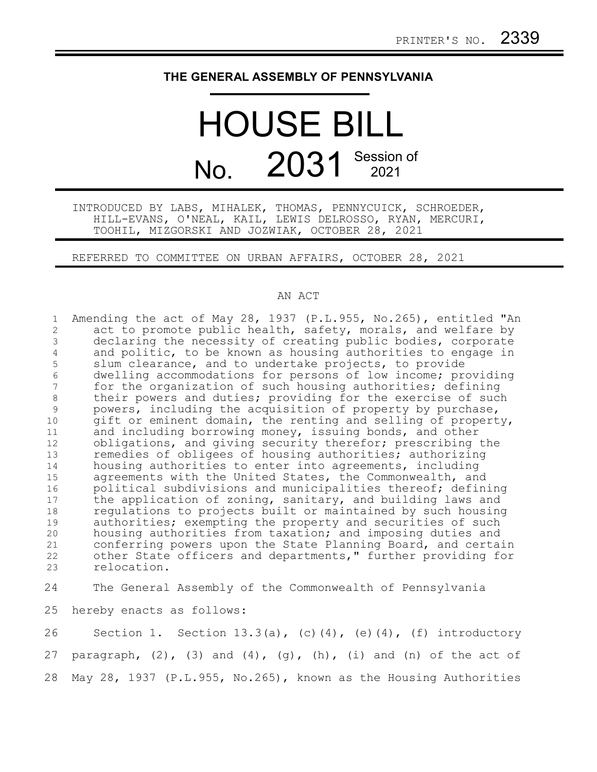## **THE GENERAL ASSEMBLY OF PENNSYLVANIA**

## HOUSE BILL No. 2031 Session of

INTRODUCED BY LABS, MIHALEK, THOMAS, PENNYCUICK, SCHROEDER, HILL-EVANS, O'NEAL, KAIL, LEWIS DELROSSO, RYAN, MERCURI, TOOHIL, MIZGORSKI AND JOZWIAK, OCTOBER 28, 2021

REFERRED TO COMMITTEE ON URBAN AFFAIRS, OCTOBER 28, 2021

## AN ACT

Amending the act of May 28, 1937 (P.L.955, No.265), entitled "An act to promote public health, safety, morals, and welfare by declaring the necessity of creating public bodies, corporate and politic, to be known as housing authorities to engage in slum clearance, and to undertake projects, to provide dwelling accommodations for persons of low income; providing for the organization of such housing authorities; defining their powers and duties; providing for the exercise of such powers, including the acquisition of property by purchase, gift or eminent domain, the renting and selling of property, and including borrowing money, issuing bonds, and other obligations, and giving security therefor; prescribing the remedies of obligees of housing authorities; authorizing housing authorities to enter into agreements, including agreements with the United States, the Commonwealth, and political subdivisions and municipalities thereof; defining the application of zoning, sanitary, and building laws and regulations to projects built or maintained by such housing authorities; exempting the property and securities of such housing authorities from taxation; and imposing duties and conferring powers upon the State Planning Board, and certain other State officers and departments," further providing for relocation. 1 2 3 4 5 6 7 8 9 10 11 12 13 14 15 16 17 18 19 20 21 22 23

The General Assembly of the Commonwealth of Pennsylvania 24

hereby enacts as follows: 25

Section 1. Section  $13.3(a)$ , (c)(4), (e)(4), (f) introductory paragraph,  $(2)$ ,  $(3)$  and  $(4)$ ,  $(q)$ ,  $(h)$ ,  $(i)$  and  $(n)$  of the act of May 28, 1937 (P.L.955, No.265), known as the Housing Authorities 26 27 28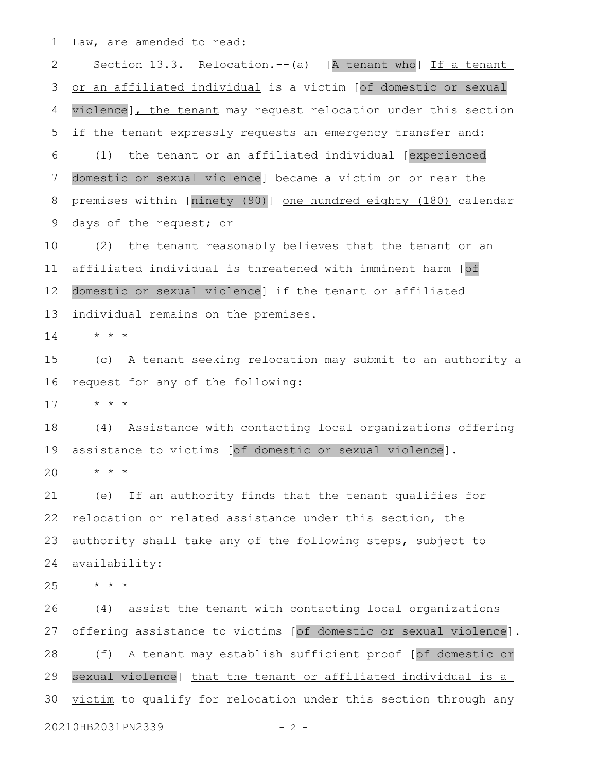Law, are amended to read: 1

Section 13.3. Relocation.--(a) [A tenant who] If a tenant or an affiliated individual is a victim [of domestic or sexual violence], the tenant may request relocation under this section if the tenant expressly requests an emergency transfer and: (1) the tenant or an affiliated individual [experienced domestic or sexual violence] became a victim on or near the premises within [ninety (90)] one hundred eighty (180) calendar days of the request; or (2) the tenant reasonably believes that the tenant or an 2 3 4 5 6 7 8 9 10

affiliated individual is threatened with imminent harm [of domestic or sexual violence] if the tenant or affiliated individual remains on the premises. 11 12 13

\* \* \* 14

(c) A tenant seeking relocation may submit to an authority a request for any of the following: 15 16

\* \* \* 17

(4) Assistance with contacting local organizations offering assistance to victims [of domestic or sexual violence]. \* \* \* 18 19 20

(e) If an authority finds that the tenant qualifies for relocation or related assistance under this section, the authority shall take any of the following steps, subject to availability: 21 22 23 24

\* \* \* 25

(4) assist the tenant with contacting local organizations offering assistance to victims [of domestic or sexual violence]. (f) A tenant may establish sufficient proof [of domestic or sexual violence] that the tenant or affiliated individual is a victim to qualify for relocation under this section through any 26 27 28 29 30

20210HB2031PN2339 - 2 -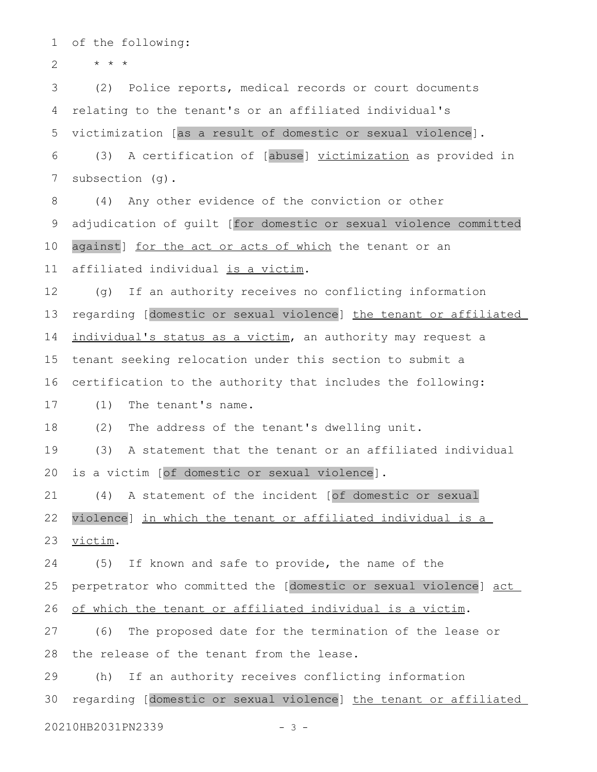of the following: 1

\* \* \* 2

(2) Police reports, medical records or court documents relating to the tenant's or an affiliated individual's victimization [as a result of domestic or sexual violence]. (3) A certification of [abuse] victimization as provided in subsection (g). 3 4 5 6 7

(4) Any other evidence of the conviction or other adjudication of guilt [for domestic or sexual violence committed against] for the act or acts of which the tenant or an affiliated individual is a victim. 8 9 10 11

(g) If an authority receives no conflicting information regarding [domestic or sexual violence] the tenant or affiliated individual's status as a victim, an authority may request a tenant seeking relocation under this section to submit a certification to the authority that includes the following: 12 13 14 15 16

(1) The tenant's name. 17

(2) The address of the tenant's dwelling unit. 18

(3) A statement that the tenant or an affiliated individual is a victim [of domestic or sexual violence]. 19 20

(4) A statement of the incident [of domestic or sexual violence] in which the tenant or affiliated individual is a victim. 21 22 23

(5) If known and safe to provide, the name of the perpetrator who committed the [domestic or sexual violence] act of which the tenant or affiliated individual is a victim. 24 25 26

(6) The proposed date for the termination of the lease or the release of the tenant from the lease. 27 28

(h) If an authority receives conflicting information regarding [domestic or sexual violence] the tenant or affiliated 29 30

20210HB2031PN2339 - 3 -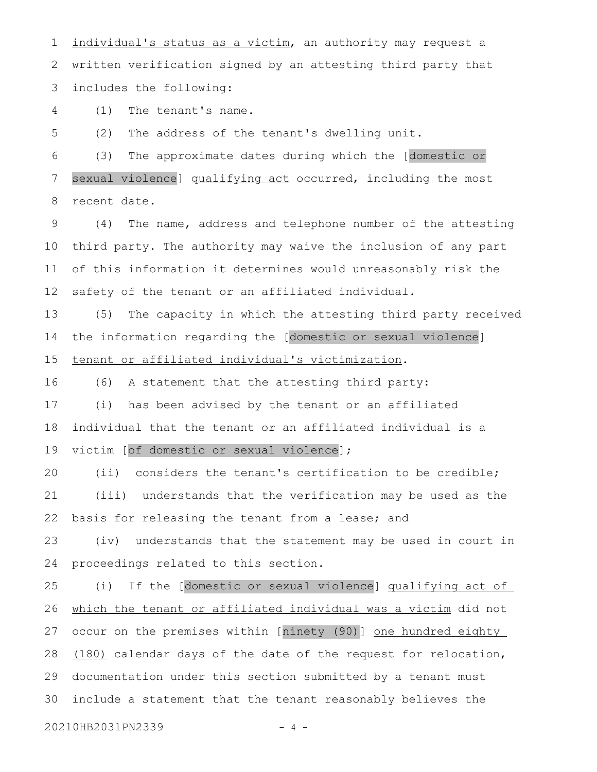individual's status as a victim, an authority may request a written verification signed by an attesting third party that includes the following: 1 2 3

(1) The tenant's name. 4

(2) The address of the tenant's dwelling unit. 5

(3) The approximate dates during which the [domestic or sexual violence] qualifying act occurred, including the most recent date. 6 7 8

(4) The name, address and telephone number of the attesting third party. The authority may waive the inclusion of any part of this information it determines would unreasonably risk the safety of the tenant or an affiliated individual. 9 10 11 12

(5) The capacity in which the attesting third party received the information regarding the [domestic or sexual violence] tenant or affiliated individual's victimization. 13 14 15

(6) A statement that the attesting third party: 16

(i) has been advised by the tenant or an affiliated individual that the tenant or an affiliated individual is a victim [of domestic or sexual violence]; 17 18 19

(ii) considers the tenant's certification to be credible; (iii) understands that the verification may be used as the basis for releasing the tenant from a lease; and 20 21 22

(iv) understands that the statement may be used in court in proceedings related to this section. 23 24

(i) If the [domestic or sexual violence] qualifying act of which the tenant or affiliated individual was a victim did not occur on the premises within [ninety (90)] one hundred eighty (180) calendar days of the date of the request for relocation, documentation under this section submitted by a tenant must include a statement that the tenant reasonably believes the 25 26 27 28 29 30

20210HB2031PN2339 - 4 -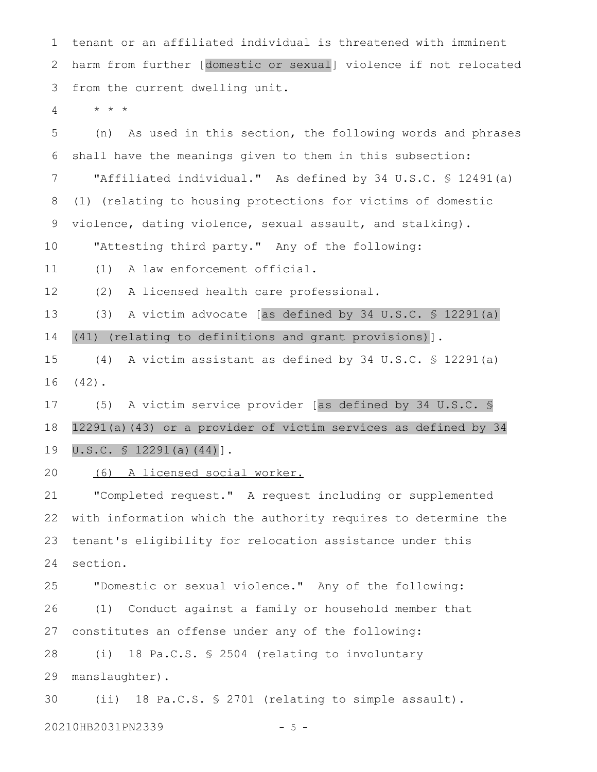tenant or an affiliated individual is threatened with imminent harm from further [domestic or sexual] violence if not relocated from the current dwelling unit. 1 2 3

\* \* \* 4

(n) As used in this section, the following words and phrases shall have the meanings given to them in this subsection: "Affiliated individual." As defined by 34 U.S.C. § 12491(a) (1) (relating to housing protections for victims of domestic violence, dating violence, sexual assault, and stalking). "Attesting third party." Any of the following: 5 6 7 8 9 10

(1) A law enforcement official. 11

(2) A licensed health care professional. 12

(3) A victim advocate [as defined by 34 U.S.C. § 12291(a) (41) (relating to definitions and grant provisions)]. 13 14

(4) A victim assistant as defined by 34 U.S.C. § 12291(a) (42). 15 16

(5) A victim service provider [as defined by 34 U.S.C. § 12291(a)(43) or a provider of victim services as defined by 34 U.S.C. § 12291(a)(44)]. 17 18 19

(6) A licensed social worker. 20

"Completed request." A request including or supplemented with information which the authority requires to determine the tenant's eligibility for relocation assistance under this section. 21 22 23 24

"Domestic or sexual violence." Any of the following: (1) Conduct against a family or household member that constitutes an offense under any of the following: (i) 18 Pa.C.S. § 2504 (relating to involuntary manslaughter). 25 26 27 28 29

(ii) 18 Pa.C.S. § 2701 (relating to simple assault). 20210HB2031PN2339 - 5 -30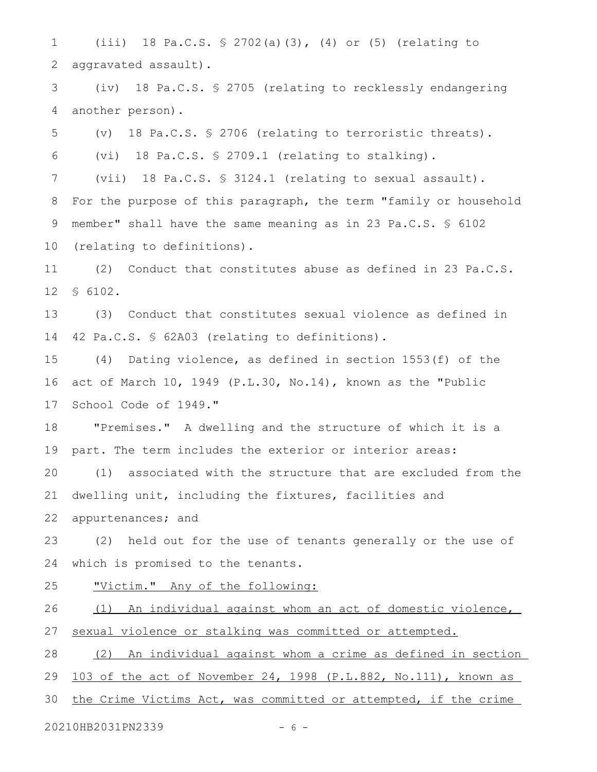(iii) 18 Pa.C.S. § 2702(a)(3), (4) or (5) (relating to aggravated assault). 1 2

(iv) 18 Pa.C.S. § 2705 (relating to recklessly endangering another person). 3 4

(v) 18 Pa.C.S. § 2706 (relating to terroristic threats). 5

(vi) 18 Pa.C.S. § 2709.1 (relating to stalking). 6

(vii) 18 Pa.C.S. § 3124.1 (relating to sexual assault). 7

For the purpose of this paragraph, the term "family or household member" shall have the same meaning as in 23 Pa.C.S. § 6102 (relating to definitions). 8 9 10

(2) Conduct that constitutes abuse as defined in 23 Pa.C.S. § 6102. 11 12

(3) Conduct that constitutes sexual violence as defined in 42 Pa.C.S. § 62A03 (relating to definitions). 13 14

(4) Dating violence, as defined in section 1553(f) of the act of March 10, 1949 (P.L.30, No.14), known as the "Public School Code of 1949." 15 16 17

"Premises." A dwelling and the structure of which it is a part. The term includes the exterior or interior areas: 18 19

(1) associated with the structure that are excluded from the dwelling unit, including the fixtures, facilities and 20 21

appurtenances; and 22

(2) held out for the use of tenants generally or the use of which is promised to the tenants. 23 24

"Victim." Any of the following: 25

(1) An individual against whom an act of domestic violence, 26

sexual violence or stalking was committed or attempted. 27

(2) An individual against whom a crime as defined in section 28

103 of the act of November 24, 1998 (P.L.882, No.111), known as 29

the Crime Victims Act, was committed or attempted, if the crime 30

20210HB2031PN2339 - 6 -